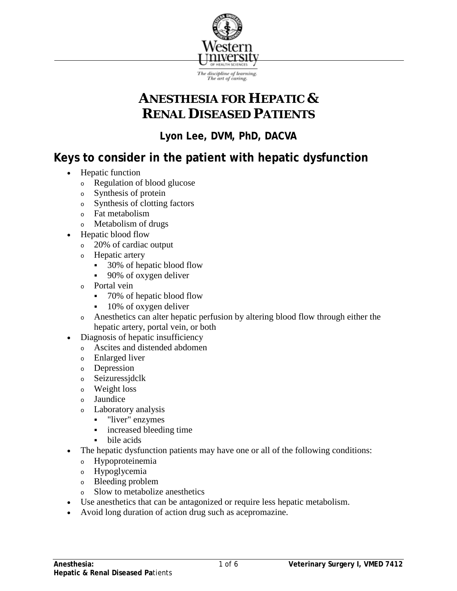

# **ANESTHESIA FOR HEPATIC & RENAL DISEASED PATIENTS**

**Lyon Lee, DVM, PhD, DACVA**

## **Keys to consider in the patient with hepatic dysfunction**

- Hepatic function
	- <sup>o</sup> Regulation of blood glucose
	- <sup>o</sup> Synthesis of protein
	- <sup>o</sup> Synthesis of clotting factors
	- <sup>o</sup> Fat metabolism
	- <sup>o</sup> Metabolism of drugs
- Hepatic blood flow
	- <sup>o</sup> 20% of cardiac output
	- <sup>o</sup> Hepatic artery
		- **30%** of hepatic blood flow
		- 90% of oxygen deliver
	- <sup>o</sup> Portal vein
		- 70% of hepatic blood flow
		- 10% of oxygen deliver
	- <sup>o</sup> Anesthetics can alter hepatic perfusion by altering blood flow through either the hepatic artery, portal vein, or both
- Diagnosis of hepatic insufficiency
	- <sup>o</sup> Ascites and distended abdomen
	- <sup>o</sup> Enlarged liver
	- <sup>o</sup> Depression
	- <sup>o</sup> Seizuressjdclk
	- <sup>o</sup> Weight loss
	- <sup>o</sup> Jaundice
	- <sup>o</sup> Laboratory analysis
		- **-** "liver" enzymes
		- **i** increased bleeding time
		- bile acids
- The hepatic dysfunction patients may have one or all of the following conditions:
	- <sup>o</sup> Hypoproteinemia
	- <sup>o</sup> Hypoglycemia
	- <sup>o</sup> Bleeding problem
	- <sup>o</sup> Slow to metabolize anesthetics
- Use anesthetics that can be antagonized or require less hepatic metabolism.
- Avoid long duration of action drug such as acepromazine.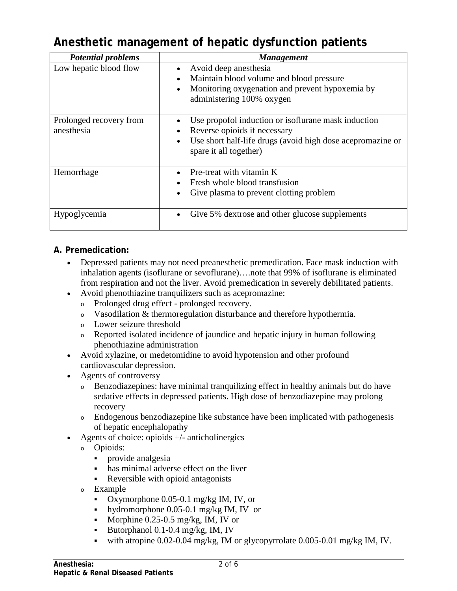## **Anesthetic management of hepatic dysfunction patients**

| <b>Potential problems</b>             | <b>Management</b>                                                                                                                                                           |
|---------------------------------------|-----------------------------------------------------------------------------------------------------------------------------------------------------------------------------|
| Low hepatic blood flow                | Avoid deep anesthesia<br>Maintain blood volume and blood pressure<br>Monitoring oxygenation and prevent hypoxemia by<br>administering 100% oxygen                           |
| Prolonged recovery from<br>anesthesia | Use propofol induction or isoflurane mask induction<br>Reverse opioids if necessary<br>Use short half-life drugs (avoid high dose acepromazine or<br>spare it all together) |
| Hemorrhage                            | Pre-treat with vitamin K<br>Fresh whole blood transfusion<br>Give plasma to prevent clotting problem                                                                        |
| Hypoglycemia                          | Give 5% dextrose and other glucose supplements                                                                                                                              |

### **A. Premedication:**

- Depressed patients may not need preanesthetic premedication. Face mask induction with inhalation agents (isoflurane or sevoflurane)….note that 99% of isoflurane is eliminated from respiration and not the liver. Avoid premedication in severely debilitated patients.
- Avoid phenothiazine tranquilizers such as acepromazine:
	- <sup>o</sup> Prolonged drug effect prolonged recovery.
	- <sup>o</sup> Vasodilation & thermoregulation disturbance and therefore hypothermia.
	- <sup>o</sup> Lower seizure threshold
	- <sup>o</sup> Reported isolated incidence of jaundice and hepatic injury in human following phenothiazine administration
- Avoid xylazine, or medetomidine to avoid hypotension and other profound cardiovascular depression.
- Agents of controversy
	- <sup>o</sup> Benzodiazepines: have minimal tranquilizing effect in healthy animals but do have sedative effects in depressed patients. High dose of benzodiazepine may prolong recovery
	- <sup>o</sup> Endogenous benzodiazepine like substance have been implicated with pathogenesis of hepatic encephalopathy
- Agents of choice: opioids  $+/-$  anticholinergics
	- <sup>o</sup> Opioids:
		- **provide analgesia**
		- has minimal adverse effect on the liver
		- Reversible with opioid antagonists
	- <sup>o</sup> Example
		- Oxymorphone  $0.05$ -0.1 mg/kg IM, IV, or
		- hydromorphone  $0.05$ -0.1 mg/kg IM, IV or
		- Morphine  $0.25-0.5$  mg/kg, IM, IV or
		- Butorphanol  $0.1$ - $0.4$  mg/kg, IM, IV
		- with atropine  $0.02$ -0.04 mg/kg, IM or glycopyrrolate 0.005-0.01 mg/kg IM, IV.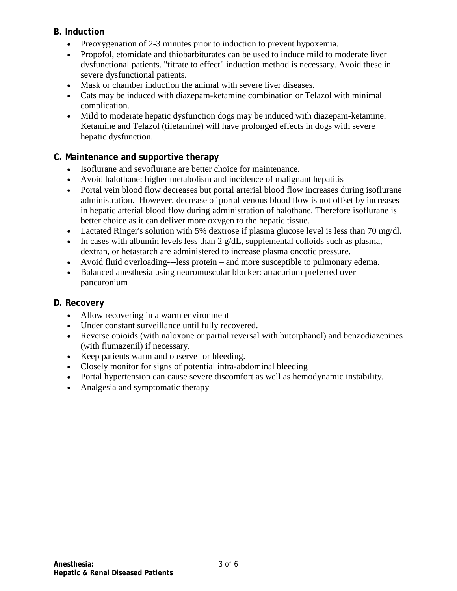#### **B. Induction**

- Preoxygenation of 2-3 minutes prior to induction to prevent hypoxemia.
- Propofol, etomidate and thiobarbiturates can be used to induce mild to moderate liver dysfunctional patients. "titrate to effect" induction method is necessary. Avoid these in severe dysfunctional patients.
- Mask or chamber induction the animal with severe liver diseases.
- Cats may be induced with diazepam-ketamine combination or Telazol with minimal complication.
- Mild to moderate hepatic dysfunction dogs may be induced with diazepam-ketamine. Ketamine and Telazol (tiletamine) will have prolonged effects in dogs with severe hepatic dysfunction.

## **C. Maintenance and supportive therapy**

- Isoflurane and sevoflurane are better choice for maintenance.
- Avoid halothane: higher metabolism and incidence of malignant hepatitis
- Portal vein blood flow decreases but portal arterial blood flow increases during isoflurane administration. However, decrease of portal venous blood flow is not offset by increases in hepatic arterial blood flow during administration of halothane. Therefore isoflurane is better choice as it can deliver more oxygen to the hepatic tissue.
- Lactated Ringer's solution with 5% dextrose if plasma glucose level is less than 70 mg/dl.
- In cases with albumin levels less than  $2 \text{ g/dL}$ , supplemental colloids such as plasma, dextran, or hetastarch are administered to increase plasma oncotic pressure.
- Avoid fluid overloading---less protein and more susceptible to pulmonary edema.
- Balanced anesthesia using neuromuscular blocker: atracurium preferred over pancuronium

### **D. Recovery**

- Allow recovering in a warm environment
- Under constant surveillance until fully recovered.
- Reverse opioids (with naloxone or partial reversal with butorphanol) and benzodiazepines (with flumazenil) if necessary.
- Keep patients warm and observe for bleeding.
- Closely monitor for signs of potential intra-abdominal bleeding
- Portal hypertension can cause severe discomfort as well as hemodynamic instability.
- Analgesia and symptomatic therapy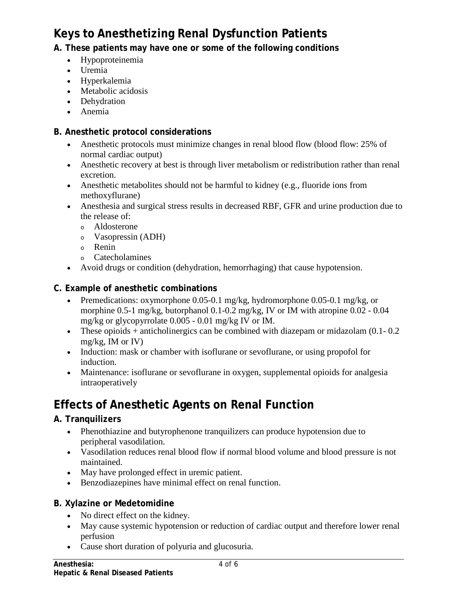# **Keys to Anesthetizing Renal Dysfunction Patients**

## **A. These patients may have one or some of the following conditions**

- Hypoproteinemia
- Uremia
- Hyperkalemia
- Metabolic acidosis
- Dehydration
- Anemia

## **B. Anesthetic protocol considerations**

- Anesthetic protocols must minimize changes in renal blood flow (blood flow: 25% of normal cardiac output)
- Anesthetic recovery at best is through liver metabolism or redistribution rather than renal excretion.
- Anesthetic metabolites should not be harmful to kidney (e.g., fluoride ions from methoxyflurane)
- Anesthesia and surgical stress results in decreased RBF, GFR and urine production due to the release of:
	- <sup>o</sup> Aldosterone
	- <sup>o</sup> Vasopressin (ADH)
	- <sup>o</sup> Renin
	- <sup>o</sup> Catecholamines
- Avoid drugs or condition (dehydration, hemorrhaging) that cause hypotension.

## **C. Example of anesthetic combinations**

- Premedications: oxymorphone 0.05-0.1 mg/kg, hydromorphone 0.05-0.1 mg/kg, or morphine 0.5-1 mg/kg, butorphanol 0.1-0.2 mg/kg, IV or IM with atropine 0.02 - 0.04 mg/kg or glycopyrrolate 0.005 - 0.01 mg/kg IV or IM.
- These opioids  $+$  anticholinergics can be combined with diazepam or midazolam (0.1-0.2) mg/kg, IM or IV)
- Induction: mask or chamber with isoflurane or sevoflurane, or using propofol for induction.
- Maintenance: isoflurane or sevoflurane in oxygen, supplemental opioids for analgesia intraoperatively

# **Effects of Anesthetic Agents on Renal Function**

## **A. Tranquilizers**

- Phenothiazine and butyrophenone tranquilizers can produce hypotension due to peripheral vasodilation.
- Vasodilation reduces renal blood flow if normal blood volume and blood pressure is not maintained.
- May have prolonged effect in uremic patient.
- Benzodiazepines have minimal effect on renal function.

### **B. Xylazine or Medetomidine**

- No direct effect on the kidney.
- May cause systemic hypotension or reduction of cardiac output and therefore lower renal perfusion
- Cause short duration of polyuria and glucosuria.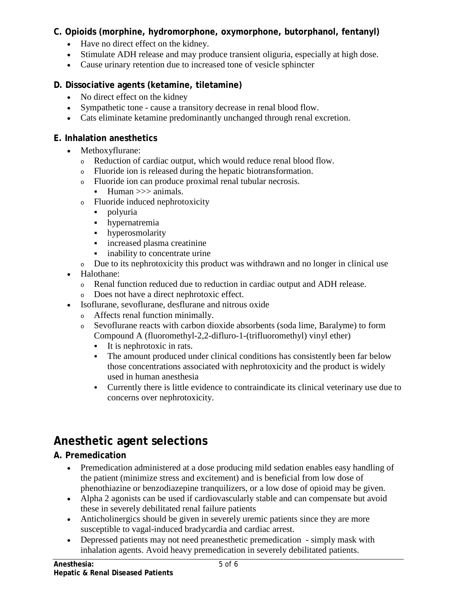#### **C. Opioids (morphine, hydromorphone, oxymorphone, butorphanol, fentanyl)**

- Have no direct effect on the kidney.
- Stimulate ADH release and may produce transient oliguria, especially at high dose.
- Cause urinary retention due to increased tone of vesicle sphincter

#### **D. Dissociative agents (ketamine, tiletamine)**

- No direct effect on the kidney
- Sympathetic tone cause a transitory decrease in renal blood flow.
- Cats eliminate ketamine predominantly unchanged through renal excretion.

#### **E. Inhalation anesthetics**

- Methoxyflurane:
	- <sup>o</sup> Reduction of cardiac output, which would reduce renal blood flow.
	- <sup>o</sup> Fluoride ion is released during the hepatic biotransformation.
	- <sup>o</sup> Fluoride ion can produce proximal renal tubular necrosis.
		- Human >>> animals.
	- <sup>o</sup> Fluoride induced nephrotoxicity
		- polyuria
		- hypernatremia
		- hyperosmolarity
		- increased plasma creatinine
		- inability to concentrate urine
	- <sup>o</sup> Due to its nephrotoxicity this product was withdrawn and no longer in clinical use
- Halothane:
	- <sup>o</sup> Renal function reduced due to reduction in cardiac output and ADH release.
	- <sup>o</sup> Does not have a direct nephrotoxic effect.
- Isoflurane, sevoflurane, desflurane and nitrous oxide
	- <sup>o</sup> Affects renal function minimally.
	- <sup>o</sup> Sevoflurane reacts with carbon dioxide absorbents (soda lime, Baralyme) to form Compound A (fluoromethyl-2,2-difluro-1-(trifluoromethyl) vinyl ether)
		- It is nephrotoxic in rats.
		- The amount produced under clinical conditions has consistently been far below those concentrations associated with nephrotoxicity and the product is widely used in human anesthesia
		- Currently there is little evidence to contraindicate its clinical veterinary use due to concerns over nephrotoxicity.

# **Anesthetic agent selections**

## **A. Premedication**

- Premedication administered at a dose producing mild sedation enables easy handling of the patient (minimize stress and excitement) and is beneficial from low dose of phenothiazine or benzodiazepine tranquilizers, or a low dose of opioid may be given.
- Alpha 2 agonists can be used if cardiovascularly stable and can compensate but avoid these in severely debilitated renal failure patients
- Anticholinergics should be given in severely uremic patients since they are more susceptible to vagal-induced bradycardia and cardiac arrest.
- Depressed patients may not need preanesthetic premedication simply mask with inhalation agents. Avoid heavy premedication in severely debilitated patients.